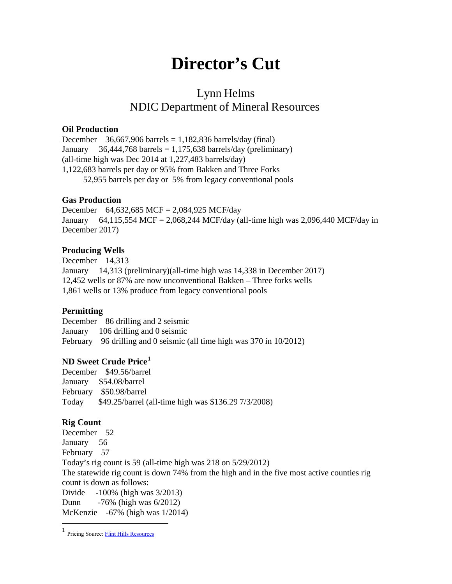# **Director's Cut**

# Lynn Helms NDIC Department of Mineral Resources

#### **Oil Production**

December  $36,667,906$  barrels = 1,182,836 barrels/day (final) January 36,444,768 barrels = 1,175,638 barrels/day (preliminary) (all-time high was Dec 2014 at 1,227,483 barrels/day) 1,122,683 barrels per day or 95% from Bakken and Three Forks 52,955 barrels per day or 5% from legacy conventional pools

#### **Gas Production**

December 64,632,685 MCF = 2,084,925 MCF/day January 64,115,554 MCF = 2,068,244 MCF/day (all-time high was 2,096,440 MCF/day in December 2017)

## **Producing Wells**

December 14,313 January 14,313 (preliminary)(all-time high was 14,338 in December 2017) 12,452 wells or 87% are now unconventional Bakken – Three forks wells 1,861 wells or 13% produce from legacy conventional pools

## **Permitting**

December 86 drilling and 2 seismic January 106 drilling and 0 seismic February 96 drilling and 0 seismic (all time high was 370 in 10/2012)

## **ND Sweet Crude Price[1](#page-0-0)**

December \$49.56/barrel January \$54.08/barrel February \$50.98/barrel Today \$49.25/barrel (all-time high was \$136.29 7/3/2008)

## **Rig Count**

 $\overline{\phantom{a}}$ 

December 52 January 56 February 57 Today's rig count is 59 (all-time high was 218 on 5/29/2012) The statewide rig count is down 74% from the high and in the five most active counties rig count is down as follows: Divide -100% (high was 3/2013) Dunn -76% (high was 6/2012) McKenzie -67% (high was 1/2014)

<span id="page-0-0"></span><sup>&</sup>lt;sup>1</sup> Pricing Source: **Flint Hills Resources**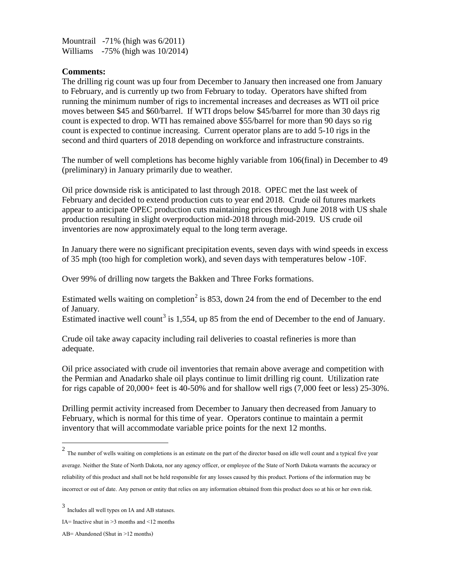Mountrail -71% (high was 6/2011) Williams -75% (high was  $10/2014$ )

#### **Comments:**

The drilling rig count was up four from December to January then increased one from January to February, and is currently up two from February to today. Operators have shifted from running the minimum number of rigs to incremental increases and decreases as WTI oil price moves between \$45 and \$60/barrel. If WTI drops below \$45/barrel for more than 30 days rig count is expected to drop. WTI has remained above \$55/barrel for more than 90 days so rig count is expected to continue increasing. Current operator plans are to add 5-10 rigs in the second and third quarters of 2018 depending on workforce and infrastructure constraints.

The number of well completions has become highly variable from 106(final) in December to 49 (preliminary) in January primarily due to weather.

Oil price downside risk is anticipated to last through 2018. OPEC met the last week of February and decided to extend production cuts to year end 2018. Crude oil futures markets appear to anticipate OPEC production cuts maintaining prices through June 2018 with US shale production resulting in slight overproduction mid-2018 through mid-2019. US crude oil inventories are now approximately equal to the long term average.

In January there were no significant precipitation events, seven days with wind speeds in excess of 35 mph (too high for completion work), and seven days with temperatures below -10F.

Over 99% of drilling now targets the Bakken and Three Forks formations.

Estimated wells waiting on completion<sup>[2](#page-1-0)</sup> is 853, down 24 from the end of December to the end of January.

Estimated inactive well count<sup>[3](#page-1-1)</sup> is 1,554, up 85 from the end of December to the end of January.

Crude oil take away capacity including rail deliveries to coastal refineries is more than adequate.

Oil price associated with crude oil inventories that remain above average and competition with the Permian and Anadarko shale oil plays continue to limit drilling rig count. Utilization rate for rigs capable of 20,000+ feet is 40-50% and for shallow well rigs (7,000 feet or less) 25-30%.

Drilling permit activity increased from December to January then decreased from January to February, which is normal for this time of year. Operators continue to maintain a permit inventory that will accommodate variable price points for the next 12 months.

l

<span id="page-1-0"></span> $2$  The number of wells waiting on completions is an estimate on the part of the director based on idle well count and a typical five year average. Neither the State of North Dakota, nor any agency officer, or employee of the State of North Dakota warrants the accuracy or reliability of this product and shall not be held responsible for any losses caused by this product. Portions of the information may be incorrect or out of date. Any person or entity that relies on any information obtained from this product does so at his or her own risk.

<span id="page-1-1"></span><sup>3</sup> Includes all well types on IA and AB statuses.

IA= Inactive shut in >3 months and <12 months

AB= Abandoned (Shut in >12 months)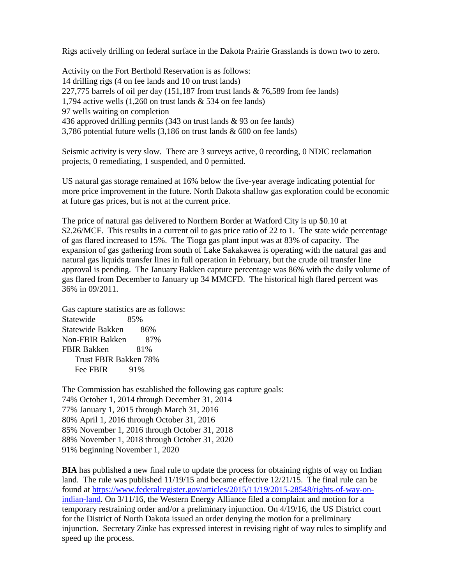Rigs actively drilling on federal surface in the Dakota Prairie Grasslands is down two to zero.

Activity on the Fort Berthold Reservation is as follows: 14 drilling rigs (4 on fee lands and 10 on trust lands) 227,775 barrels of oil per day  $(151,187$  from trust lands & 76,589 from fee lands) 1,794 active wells (1,260 on trust lands & 534 on fee lands) 97 wells waiting on completion 436 approved drilling permits (343 on trust lands & 93 on fee lands) 3,786 potential future wells (3,186 on trust lands & 600 on fee lands)

Seismic activity is very slow. There are 3 surveys active, 0 recording, 0 NDIC reclamation projects, 0 remediating, 1 suspended, and 0 permitted.

US natural gas storage remained at 16% below the five-year average indicating potential for more price improvement in the future. North Dakota shallow gas exploration could be economic at future gas prices, but is not at the current price.

The price of natural gas delivered to Northern Border at Watford City is up \$0.10 at \$2.26/MCF. This results in a current oil to gas price ratio of 22 to 1. The state wide percentage of gas flared increased to 15%. The Tioga gas plant input was at 83% of capacity. The expansion of gas gathering from south of Lake Sakakawea is operating with the natural gas and natural gas liquids transfer lines in full operation in February, but the crude oil transfer line approval is pending. The January Bakken capture percentage was 86% with the daily volume of gas flared from December to January up 34 MMCFD. The historical high flared percent was 36% in 09/2011.

Gas capture statistics are as follows: Statewide 85% Statewide Bakken 86% Non-FBIR Bakken 87% FBIR Bakken 81% Trust FBIR Bakken 78% Fee FBIR 91%

The Commission has established the following gas capture goals: 74% October 1, 2014 through December 31, 2014 77% January 1, 2015 through March 31, 2016 80% April 1, 2016 through October 31, 2016 85% November 1, 2016 through October 31, 2018 88% November 1, 2018 through October 31, 2020 91% beginning November 1, 2020

**BIA** has published a new final rule to update the process for obtaining rights of way on Indian land. The rule was published 11/19/15 and became effective 12/21/15. The final rule can be found at [https://www.federalregister.gov/articles/2015/11/19/2015-28548/rights-of-way-on](https://www.federalregister.gov/articles/2015/11/19/2015-28548/rights-of-way-on-indian-land)[indian-land.](https://www.federalregister.gov/articles/2015/11/19/2015-28548/rights-of-way-on-indian-land) On 3/11/16, the Western Energy Alliance filed a complaint and motion for a temporary restraining order and/or a preliminary injunction. On 4/19/16, the US District court for the District of North Dakota issued an order denying the motion for a preliminary injunction. Secretary Zinke has expressed interest in revising right of way rules to simplify and speed up the process.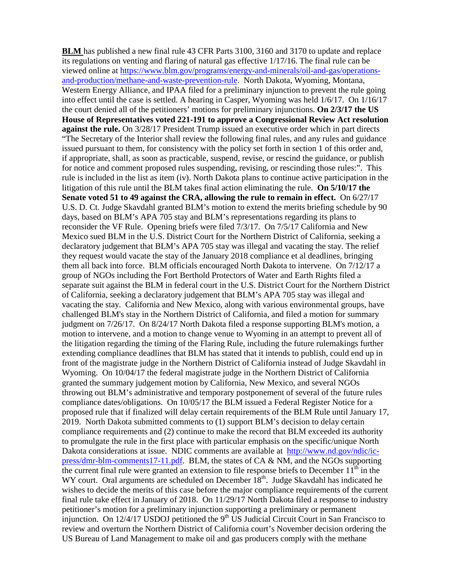**BLM** has published a new final rule 43 CFR Parts 3100, 3160 and 3170 to update and replace its regulations on venting and flaring of natural gas effective 1/17/16. The final rule can be viewed online at [https://www.blm.gov/programs/energy-and-minerals/oil-and-gas/operations](https://www.blm.gov/programs/energy-and-minerals/oil-and-gas/operations-and-production/methane-and-waste-prevention-rule)[and-production/methane-and-waste-prevention-rule.](https://www.blm.gov/programs/energy-and-minerals/oil-and-gas/operations-and-production/methane-and-waste-prevention-rule) North Dakota, Wyoming, Montana, Western Energy Alliance, and IPAA filed for a preliminary injunction to prevent the rule going into effect until the case is settled. A hearing in Casper, Wyoming was held 1/6/17. On 1/16/17 the court denied all of the petitioners' motions for preliminary injunctions. **On 2/3/17 the US House of Representatives voted 221-191 to approve a Congressional Review Act resolution against the rule.** On 3/28/17 President Trump issued an executive order which in part directs "The Secretary of the Interior shall review the following final rules, and any rules and guidance issued pursuant to them, for consistency with the policy set forth in section 1 of this order and, if appropriate, shall, as soon as practicable, suspend, revise, or rescind the guidance, or publish for notice and comment proposed rules suspending, revising, or rescinding those rules:". This rule is included in the list as item (iv). North Dakota plans to continue active participation in the litigation of this rule until the BLM takes final action eliminating the rule. **On 5/10/17 the Senate voted 51 to 49 against the CRA, allowing the rule to remain in effect.** On 6/27/17 U.S. D. Ct. Judge Skavdahl granted BLM's motion to extend the merits briefing schedule by 90 days, based on BLM's APA 705 stay and BLM's representations regarding its plans to reconsider the VF Rule. Opening briefs were filed 7/3/17. On 7/5/17 California and New Mexico sued BLM in the U.S. District Court for the Northern District of California, seeking a declaratory judgement that BLM's APA 705 stay was illegal and vacating the stay. The relief they request would vacate the stay of the January 2018 compliance et al deadlines, bringing them all back into force. BLM officials encouraged North Dakota to intervene. On 7/12/17 a group of NGOs including the Fort Berthold Protectors of Water and Earth Rights filed a separate suit against the BLM in federal court in the U.S. District Court for the Northern District of California, seeking a declaratory judgement that BLM's APA 705 stay was illegal and vacating the stay. California and New Mexico, along with various environmental groups, have challenged BLM's stay in the Northern District of California, and filed a motion for summary judgment on 7/26/17. On 8/24/17 North Dakota filed a response supporting BLM's motion, a motion to intervene, and a motion to change venue to Wyoming in an attempt to prevent all of the litigation regarding the timing of the Flaring Rule, including the future rulemakings further extending compliance deadlines that BLM has stated that it intends to publish, could end up in front of the magistrate judge in the Northern District of California instead of Judge Skavdahl in Wyoming. On 10/04/17 the federal magistrate judge in the Northern District of California granted the summary judgement motion by California, New Mexico, and several NGOs throwing out BLM's administrative and temporary postponement of several of the future rules compliance dates/obligations. On 10/05/17 the BLM issued a Federal Register Notice for a proposed rule that if finalized will delay certain requirements of the BLM Rule until January 17, 2019. North Dakota submitted comments to (1) support BLM's decision to delay certain compliance requirements and (2) continue to make the record that BLM exceeded its authority to promulgate the rule in the first place with particular emphasis on the specific/unique North Dakota considerations at issue. NDIC comments are available at [http://www.nd.gov/ndic/ic](http://www.nd.gov/ndic/ic-press/dmr-blm-comments17-11.pdf)[press/dmr-blm-comments17-11.pdf.](http://www.nd.gov/ndic/ic-press/dmr-blm-comments17-11.pdf) BLM, the states of CA & NM, and the NGOs supporting the current final rule were granted an extension to file response briefs to December  $11<sup>th</sup>$  in the WY court. Oral arguments are scheduled on December  $18<sup>th</sup>$ . Judge Skavdahl has indicated he wishes to decide the merits of this case before the major compliance requirements of the current final rule take effect in January of 2018. On 11/29/17 North Dakota filed a response to industry petitioner's motion for a preliminary injunction supporting a preliminary or permanent injunction. On  $12/4/17$  USDOJ petitioned the 9<sup>th</sup> US Judicial Circuit Court in San Francisco to review and overturn the Northern District of California court's November decision ordering the US Bureau of Land Management to make oil and gas producers comply with the methane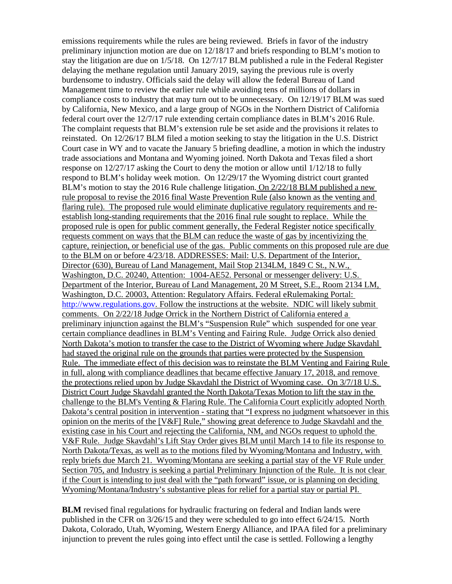emissions requirements while the rules are being reviewed. Briefs in favor of the industry preliminary injunction motion are due on 12/18/17 and briefs responding to BLM's motion to stay the litigation are due on 1/5/18. On 12/7/17 BLM published a rule in the Federal Register delaying the methane regulation until January 2019, saying the previous rule is overly burdensome to industry. Officials said the delay will allow the federal Bureau of Land Management time to review the earlier rule while avoiding tens of millions of dollars in compliance costs to industry that may turn out to be unnecessary. On 12/19/17 BLM was sued by California, New Mexico, and a large group of NGOs in the Northern District of California federal court over the 12/7/17 rule extending certain compliance dates in BLM's 2016 Rule. The complaint requests that BLM's extension rule be set aside and the provisions it relates to reinstated. On 12/26/17 BLM filed a motion seeking to stay the litigation in the U.S. District Court case in WY and to vacate the January 5 briefing deadline, a motion in which the industry trade associations and Montana and Wyoming joined. North Dakota and Texas filed a short response on 12/27/17 asking the Court to deny the motion or allow until 1/12/18 to fully respond to BLM's holiday week motion. On 12/29/17 the Wyoming district court granted BLM's motion to stay the 2016 Rule challenge litigation. On 2/22/18 BLM published a new rule proposal to revise the 2016 final Waste Prevention Rule (also known as the venting and flaring rule). The proposed rule would eliminate duplicative regulatory requirements and reestablish long-standing requirements that the 2016 final rule sought to replace. While the proposed rule is open for public comment generally, the Federal Register notice specifically requests comment on ways that the BLM can reduce the waste of gas by incentivizing the capture, reinjection, or beneficial use of the gas. Public comments on this proposed rule are due to the BLM on or before 4/23/18. ADDRESSES: Mail: U.S. Department of the Interior, Director (630), Bureau of Land Management, Mail Stop 2134LM, 1849 C St., N.W., Washington, D.C. 20240, Attention: 1004-AE52. Personal or messenger delivery: U.S. Department of the Interior, Bureau of Land Management, 20 M Street, S.E., Room 2134 LM, Washington, D.C. 20003, Attention: Regulatory Affairs. Federal eRulemaking Portal: [http://www.regulations.gov.](http://www.regulations.gov/) Follow the instructions at the website. NDIC will likely submit comments. On 2/22/18 Judge Orrick in the Northern District of California entered a preliminary injunction against the BLM's "Suspension Rule" which suspended for one year certain compliance deadlines in BLM's Venting and Fairing Rule. Judge Orrick also denied North Dakota's motion to transfer the case to the District of Wyoming where Judge Skavdahl had stayed the original rule on the grounds that parties were protected by the Suspension Rule. The immediate effect of this decision was to reinstate the BLM Venting and Fairing Rule in full, along with compliance deadlines that became effective January 17, 2018, and remove the protections relied upon by Judge Skavdahl the District of Wyoming case. On 3/7/18 U.S. District Court Judge Skavdahl granted the North Dakota/Texas Motion to lift the stay in the challenge to the BLM's Venting & Flaring Rule. The California Court explicitly adopted North Dakota's central position in intervention - stating that "I express no judgment whatsoever in this opinion on the merits of the [V&F] Rule," showing great deference to Judge Skavdahl and the existing case in his Court and rejecting the California, NM, and NGOs request to uphold the V&F Rule. Judge Skavdahl's Lift Stay Order gives BLM until March 14 to file its response to North Dakota/Texas, as well as to the motions filed by Wyoming/Montana and Industry, with reply briefs due March 21. Wyoming/Montana are seeking a partial stay of the VF Rule under Section 705, and Industry is seeking a partial Preliminary Injunction of the Rule. It is not clear if the Court is intending to just deal with the "path forward" issue, or is planning on deciding Wyoming/Montana/Industry's substantive pleas for relief for a partial stay or partial PI.

**BLM** revised final regulations for hydraulic fracturing on federal and Indian lands were published in the CFR on 3/26/15 and they were scheduled to go into effect 6/24/15. North Dakota, Colorado, Utah, Wyoming, Western Energy Alliance, and IPAA filed for a preliminary injunction to prevent the rules going into effect until the case is settled. Following a lengthy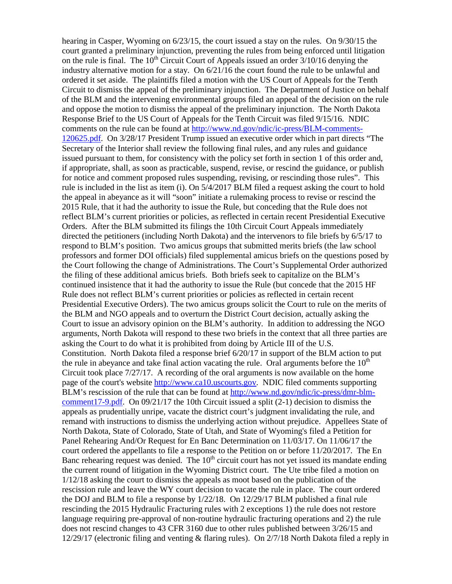hearing in Casper, Wyoming on 6/23/15, the court issued a stay on the rules. On 9/30/15 the court granted a preliminary injunction, preventing the rules from being enforced until litigation on the rule is final. The  $10<sup>th</sup>$  Circuit Court of Appeals issued an order  $3/10/16$  denying the industry alternative motion for a stay. On 6/21/16 the court found the rule to be unlawful and ordered it set aside. The plaintiffs filed a motion with the US Court of Appeals for the Tenth Circuit to dismiss the appeal of the preliminary injunction. The Department of Justice on behalf of the BLM and the intervening environmental groups filed an appeal of the decision on the rule and oppose the motion to dismiss the appeal of the preliminary injunction. The North Dakota Response Brief to the US Court of Appeals for the Tenth Circuit was filed 9/15/16. NDIC comments on the rule can be found at [http://www.nd.gov/ndic/ic-press/BLM-comments-](http://www.nd.gov/ndic/ic-press/BLM-comments-120625.pdf)[120625.pdf.](http://www.nd.gov/ndic/ic-press/BLM-comments-120625.pdf) On 3/28/17 President Trump issued an executive order which in part directs "The Secretary of the Interior shall review the following final rules, and any rules and guidance issued pursuant to them, for consistency with the policy set forth in section 1 of this order and, if appropriate, shall, as soon as practicable, suspend, revise, or rescind the guidance, or publish for notice and comment proposed rules suspending, revising, or rescinding those rules". This rule is included in the list as item (i). On 5/4/2017 BLM filed a request asking the court to hold the appeal in abeyance as it will "soon" initiate a rulemaking process to revise or rescind the 2015 Rule, that it had the authority to issue the Rule, but conceding that the Rule does not reflect BLM's current priorities or policies, as reflected in certain recent Presidential Executive Orders. After the BLM submitted its filings the 10th Circuit Court Appeals immediately directed the petitioners (including North Dakota) and the intervenors to file briefs by 6/5/17 to respond to BLM's position. Two amicus groups that submitted merits briefs (the law school professors and former DOI officials) filed supplemental amicus briefs on the questions posed by the Court following the change of Administrations. The Court's Supplemental Order authorized the filing of these additional amicus briefs. Both briefs seek to capitalize on the BLM's continued insistence that it had the authority to issue the Rule (but concede that the 2015 HF Rule does not reflect BLM's current priorities or policies as reflected in certain recent Presidential Executive Orders). The two amicus groups solicit the Court to rule on the merits of the BLM and NGO appeals and to overturn the District Court decision, actually asking the Court to issue an advisory opinion on the BLM's authority. In addition to addressing the NGO arguments, North Dakota will respond to these two briefs in the context that all three parties are asking the Court to do what it is prohibited from doing by Article III of the U.S. Constitution. North Dakota filed a response brief 6/20/17 in support of the BLM action to put the rule in abeyance and take final action vacating the rule. Oral arguments before the  $10<sup>th</sup>$ Circuit took place 7/27/17. A recording of the oral arguments is now available on the home page of the court's website [http://www.ca10.uscourts.gov.](https://urldefense.proofpoint.com/v2/url?u=http-3A__www.ca10.uscourts.gov&d=DwMGaQ&c=2s2mvbfY0UoSKkl6_Ol9wg&r=-wqsZnBxny594KY8HeElow&m=Ul_VtJUX6iW5pvHjCcBxUWtskC0F4Dhry3sPtcEHvCw&s=laRHiLDv5w8otcQWQjpn82WMieoB2AZ-Q4M1LFQPL5s&e=) NDIC filed comments supporting BLM's rescission of the rule that can be found at [http://www.nd.gov/ndic/ic-press/dmr-blm](http://www.nd.gov/ndic/ic-press/dmr-blm-comment17-9.pdf)[comment17-9.pdf.](http://www.nd.gov/ndic/ic-press/dmr-blm-comment17-9.pdf) On 09/21/17 the 10th Circuit issued a split (2-1) decision to dismiss the appeals as prudentially unripe, vacate the district court's judgment invalidating the rule, and remand with instructions to dismiss the underlying action without prejudice. Appellees State of North Dakota, State of Colorado, State of Utah, and State of Wyoming's filed a Petition for Panel Rehearing And/Or Request for En Banc Determination on 11/03/17. On 11/06/17 the court ordered the appellants to file a response to the Petition on or before 11/20/2017. The En Banc rehearing request was denied. The  $10<sup>th</sup>$  circuit court has not yet issued its mandate ending the current round of litigation in the Wyoming District court. The Ute tribe filed a motion on 1/12/18 asking the court to dismiss the appeals as moot based on the publication of the rescission rule and leave the WY court decision to vacate the rule in place. The court ordered the DOJ and BLM to file a response by 1/22/18. On 12/29/17 BLM published a final rule rescinding the 2015 Hydraulic Fracturing rules with 2 exceptions 1) the rule does not restore language requiring pre-approval of non-routine hydraulic fracturing operations and 2) the rule does not rescind changes to 43 CFR 3160 due to other rules published between 3/26/15 and 12/29/17 (electronic filing and venting & flaring rules). On 2/7/18 North Dakota filed a reply in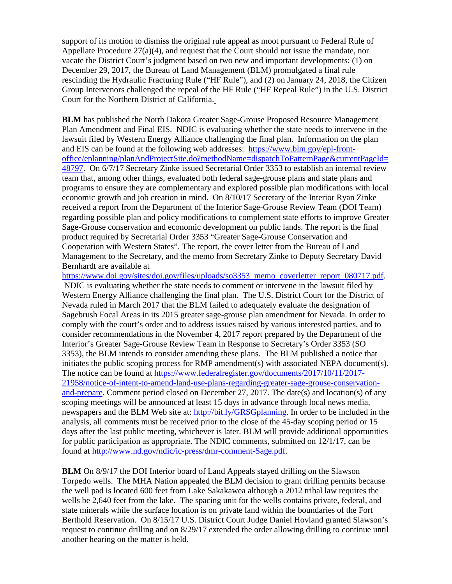support of its motion to dismiss the original rule appeal as moot pursuant to Federal Rule of Appellate Procedure 27(a)(4), and request that the Court should not issue the mandate, nor vacate the District Court's judgment based on two new and important developments: (1) on December 29, 2017, the Bureau of Land Management (BLM) promulgated a final rule rescinding the Hydraulic Fracturing Rule ("HF Rule"), and (2) on January 24, 2018, the Citizen Group Intervenors challenged the repeal of the HF Rule ("HF Repeal Rule") in the U.S. District Court for the Northern District of California.

**BLM** has published the North Dakota Greater Sage-Grouse Proposed Resource Management Plan Amendment and Final EIS. NDIC is evaluating whether the state needs to intervene in the lawsuit filed by Western Energy Alliance challenging the final plan. Information on the plan and EIS can be found at the following web addresses: [https://www.blm.gov/epl-front](https://www.blm.gov/epl-front-office/eplanning/planAndProjectSite.do?methodName=dispatchToPatternPage¤tPageId=48797)[office/eplanning/planAndProjectSite.do?methodName=dispatchToPatternPage&currentPageId=](https://www.blm.gov/epl-front-office/eplanning/planAndProjectSite.do?methodName=dispatchToPatternPage¤tPageId=48797) [48797.](https://www.blm.gov/epl-front-office/eplanning/planAndProjectSite.do?methodName=dispatchToPatternPage¤tPageId=48797) On 6/7/17 Secretary Zinke issued Secretarial Order 3353 to establish an internal review team that, among other things, evaluated both federal sage-grouse plans and state plans and programs to ensure they are complementary and explored possible plan modifications with local economic growth and job creation in mind. On 8/10/17 Secretary of the Interior Ryan Zinke received a report from the Department of the Interior Sage-Grouse Review Team (DOI Team) regarding possible plan and policy modifications to complement state efforts to improve Greater Sage-Grouse conservation and economic development on public lands. The report is the final product required by Secretarial Order 3353 "Greater Sage-Grouse Conservation and Cooperation with Western States". The report, the cover letter from the Bureau of Land Management to the Secretary, and the memo from Secretary Zinke to Deputy Secretary David Bernhardt are available at

[https://www.doi.gov/sites/doi.gov/files/uploads/so3353\\_memo\\_coverletter\\_report\\_080717.pdf.](https://www.doi.gov/sites/doi.gov/files/uploads/so3353_memo_coverletter_report_080717.pdf) NDIC is evaluating whether the state needs to comment or intervene in the lawsuit filed by Western Energy Alliance challenging the final plan. The U.S. District Court for the District of Nevada ruled in March 2017 that the BLM failed to adequately evaluate the designation of Sagebrush Focal Areas in its 2015 greater sage-grouse plan amendment for Nevada. In order to comply with the court's order and to address issues raised by various interested parties, and to consider recommendations in the November 4, 2017 report prepared by the Department of the Interior's Greater Sage-Grouse Review Team in Response to Secretary's Order 3353 (SO 3353), the BLM intends to consider amending these plans. The BLM published a notice that initiates the public scoping process for RMP amendment(s) with associated NEPA document(s). The notice can be found at [https://www.federalregister.gov/documents/2017/10/11/2017-](https://www.federalregister.gov/documents/2017/10/11/2017-21958/notice-of-intent-to-amend-land-use-plans-regarding-greater-sage-grouse-conservation-and-prepare) [21958/notice-of-intent-to-amend-land-use-plans-regarding-greater-sage-grouse-conservation](https://www.federalregister.gov/documents/2017/10/11/2017-21958/notice-of-intent-to-amend-land-use-plans-regarding-greater-sage-grouse-conservation-and-prepare)[and-prepare.](https://www.federalregister.gov/documents/2017/10/11/2017-21958/notice-of-intent-to-amend-land-use-plans-regarding-greater-sage-grouse-conservation-and-prepare) Comment period closed on December 27, 2017. The date(s) and location(s) of any scoping meetings will be announced at least 15 days in advance through local news media, newspapers and the BLM Web site at: [http://bit.ly/GRSGplanning.](http://bit.ly/%E2%80%8BGRSGplanning) In order to be included in the analysis, all comments must be received prior to the close of the 45-day scoping period or 15 days after the last public meeting, whichever is later. BLM will provide additional opportunities for public participation as appropriate. The NDIC comments, submitted on 12/1/17, can be found at [http://www.nd.gov/ndic/ic-press/dmr-comment-Sage.pdf.](http://www.nd.gov/ndic/ic-press/dmr-comment-Sage.pdf)

**BLM** On 8/9/17 the DOI Interior board of Land Appeals stayed drilling on the Slawson Torpedo wells. The MHA Nation appealed the BLM decision to grant drilling permits because the well pad is located 600 feet from Lake Sakakawea although a 2012 tribal law requires the wells be 2,640 feet from the lake. The spacing unit for the wells contains private, federal, and state minerals while the surface location is on private land within the boundaries of the Fort Berthold Reservation. On 8/15/17 U.S. District Court Judge Daniel Hovland granted Slawson's request to continue drilling and on 8/29/17 extended the order allowing drilling to continue until another hearing on the matter is held.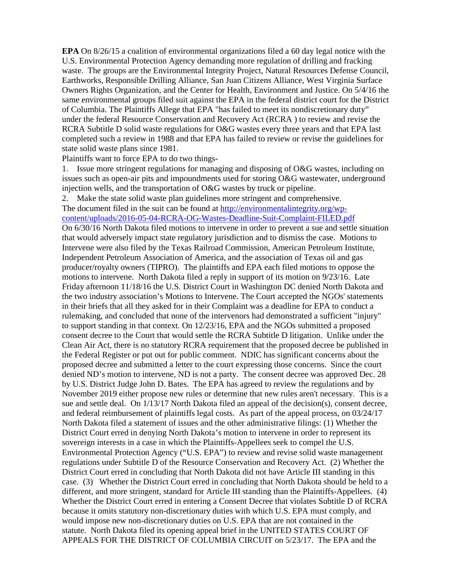**EPA** On 8/26/15 a coalition of environmental organizations filed a 60 day legal notice with the U.S. Environmental Protection Agency demanding more regulation of drilling and fracking waste. The groups are the Environmental Integrity Project, Natural Resources Defense Council, Earthworks, Responsible Drilling Alliance, San Juan Citizens Alliance, West Virginia Surface Owners Rights Organization, and the Center for Health, Environment and Justice. On 5/4/16 the same environmental groups filed suit against the EPA in the federal district court for the District of Columbia. The Plaintiffs Allege that EPA "has failed to meet its nondiscretionary duty" under the federal Resource Conservation and Recovery Act (RCRA ) to review and revise the RCRA Subtitle D solid waste regulations for O&G wastes every three years and that EPA last completed such a review in 1988 and that EPA has failed to review or revise the guidelines for state solid waste plans since 1981.

Plaintiffs want to force EPA to do two things-

1. Issue more stringent regulations for managing and disposing of O&G wastes, including on issues such as open-air pits and impoundments used for storing O&G wastewater, underground injection wells, and the transportation of O&G wastes by truck or pipeline.

2. Make the state solid waste plan guidelines more stringent and comprehensive.

The document filed in the suit can be found at [http://environmentalintegrity.org/wp](http://environmentalintegrity.org/wp-content/uploads/2016-05-04-RCRA-OG-Wastes-Deadline-Suit-Complaint-FILED.pdf)[content/uploads/2016-05-04-RCRA-OG-Wastes-Deadline-Suit-Complaint-FILED.pdf](http://environmentalintegrity.org/wp-content/uploads/2016-05-04-RCRA-OG-Wastes-Deadline-Suit-Complaint-FILED.pdf) On 6/30/16 North Dakota filed motions to intervene in order to prevent a sue and settle situation that would adversely impact state regulatory jurisdiction and to dismiss the case. Motions to Intervene were also filed by the Texas Railroad Commission, American Petroleum Institute, Independent Petroleum Association of America, and the association of Texas oil and gas producer/royalty owners (TIPRO). The plaintiffs and EPA each filed motions to oppose the motions to intervene. North Dakota filed a reply in support of its motion on 9/23/16. Late Friday afternoon 11/18/16 the U.S. District Court in Washington DC denied North Dakota and the two industry association's Motions to Intervene. The Court accepted the NGOs' statements in their briefs that all they asked for in their Complaint was a deadline for EPA to conduct a rulemaking, and concluded that none of the intervenors had demonstrated a sufficient "injury" to support standing in that context. On 12/23/16, EPA and the NGOs submitted a proposed consent decree to the Court that would settle the RCRA Subtitle D litigation. Unlike under the Clean Air Act, there is no statutory RCRA requirement that the proposed decree be published in the Federal Register or put out for public comment. NDIC has significant concerns about the proposed decree and submitted a letter to the court expressing those concerns. Since the court denied ND's motion to intervene, ND is not a party. The consent decree was approved Dec. 28 by U.S. District Judge John D. Bates. The EPA has agreed to review the regulations and by November 2019 either propose new rules or determine that new rules aren't necessary. This is a sue and settle deal. On 1/13/17 North Dakota filed an appeal of the decision(s), consent decree, and federal reimbursement of plaintiffs legal costs. As part of the appeal process, on 03/24/17 North Dakota filed a statement of issues and the other administrative filings: (1) Whether the District Court erred in denying North Dakota's motion to intervene in order to represent its sovereign interests in a case in which the Plaintiffs-Appellees seek to compel the U.S. Environmental Protection Agency ("U.S. EPA") to review and revise solid waste management regulations under Subtitle D of the Resource Conservation and Recovery Act. (2) Whether the District Court erred in concluding that North Dakota did not have Article III standing in this case. (3) Whether the District Court erred in concluding that North Dakota should be held to a different, and more stringent, standard for Article III standing than the Plaintiffs-Appellees. (4) Whether the District Court erred in entering a Consent Decree that violates Subtitle D of RCRA because it omits statutory non-discretionary duties with which U.S. EPA must comply, and would impose new non-discretionary duties on U.S. EPA that are not contained in the statute. North Dakota filed its opening appeal brief in the UNITED STATES COURT OF APPEALS FOR THE DISTRICT OF COLUMBIA CIRCUIT on 5/23/17. The EPA and the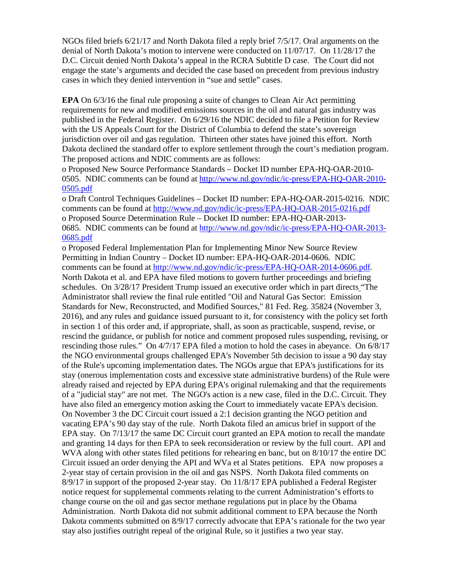NGOs filed briefs 6/21/17 and North Dakota filed a reply brief 7/5/17. Oral arguments on the denial of North Dakota's motion to intervene were conducted on 11/07/17. On 11/28/17 the D.C. Circuit denied North Dakota's appeal in the RCRA Subtitle D case. The Court did not engage the state's arguments and decided the case based on precedent from previous industry cases in which they denied intervention in "sue and settle" cases.

**EPA** On 6/3/16 the final rule proposing a suite of changes to Clean Air Act permitting requirements for new and modified emissions sources in the oil and natural gas industry was published in the Federal Register. On 6/29/16 the NDIC decided to file a Petition for Review with the US Appeals Court for the District of Columbia to defend the state's sovereign jurisdiction over oil and gas regulation. Thirteen other states have joined this effort. North Dakota declined the standard offer to explore settlement through the court's mediation program. The proposed actions and NDIC comments are as follows:

o Proposed New Source Performance Standards – Docket ID number EPA-HQ-OAR-2010- 0505. NDIC comments can be found at [http://www.nd.gov/ndic/ic-press/EPA-HQ-OAR-2010-](http://www.nd.gov/ndic/ic-press/EPA-HQ-OAR-2010-0505.pdf) [0505.pdf](http://www.nd.gov/ndic/ic-press/EPA-HQ-OAR-2010-0505.pdf)

o Draft Control Techniques Guidelines – Docket ID number: EPA-HQ-OAR-2015-0216. NDIC comments can be found at<http://www.nd.gov/ndic/ic-press/EPA-HQ-OAR-2015-0216.pdf> o Proposed Source Determination Rule – Docket ID number: EPA-HQ-OAR-2013- 0685. NDIC comments can be found at [http://www.nd.gov/ndic/ic-press/EPA-HQ-OAR-2013-](http://www.nd.gov/ndic/ic-press/EPA-HQ-OAR-2013-0685.pdf) [0685.pdf](http://www.nd.gov/ndic/ic-press/EPA-HQ-OAR-2013-0685.pdf)

o Proposed Federal Implementation Plan for Implementing Minor New Source Review Permitting in Indian Country – Docket ID number: EPA-HQ-OAR-2014-0606. NDIC comments can be found at [http://www.nd.gov/ndic/ic-press/EPA-HQ-OAR-2014-0606.pdf.](http://www.nd.gov/ndic/ic-press/EPA-HQ-OAR-2014-0606.pdf) North Dakota et al. and EPA have filed motions to govern further proceedings and briefing schedules. On 3/28/17 President Trump issued an executive order which in part directs "The Administrator shall review the final rule entitled "Oil and Natural Gas Sector: Emission Standards for New, Reconstructed, and Modified Sources," 81 Fed. Reg. 35824 (November 3, 2016), and any rules and guidance issued pursuant to it, for consistency with the policy set forth in section 1 of this order and, if appropriate, shall, as soon as practicable, suspend, revise, or rescind the guidance, or publish for notice and comment proposed rules suspending, revising, or rescinding those rules." On 4/7/17 EPA filed a motion to hold the cases in abeyance. On 6/8/17 the NGO environmental groups challenged EPA's November 5th decision to issue a 90 day stay of the Rule's upcoming implementation dates. The NGOs argue that EPA's justifications for its stay (onerous implementation costs and excessive state administrative burdens) of the Rule were already raised and rejected by EPA during EPA's original rulemaking and that the requirements of a "judicial stay" are not met. The NGO's action is a new case, filed in the D.C. Circuit. They have also filed an emergency motion asking the Court to immediately vacate EPA's decision. On November 3 the DC Circuit court issued a 2:1 decision granting the NGO petition and vacating EPA's 90 day stay of the rule. North Dakota filed an amicus brief in support of the EPA stay. On 7/13/17 the same DC Circuit court granted an EPA motion to recall the mandate and granting 14 days for then EPA to seek reconsideration or review by the full court. API and WVA along with other states filed petitions for rehearing en banc, but on  $8/10/17$  the entire DC Circuit issued an order denying the API and WVa et al States petitions. EPA now proposes a 2-year stay of certain provision in the oil and gas NSPS. North Dakota filed comments on 8/9/17 in support of the proposed 2-year stay. On 11/8/17 EPA published a Federal Register notice request for supplemental comments relating to the current Administration's efforts to change course on the oil and gas sector methane regulations put in place by the Obama Administration. North Dakota did not submit additional comment to EPA because the North Dakota comments submitted on 8/9/17 correctly advocate that EPA's rationale for the two year stay also justifies outright repeal of the original Rule, so it justifies a two year stay.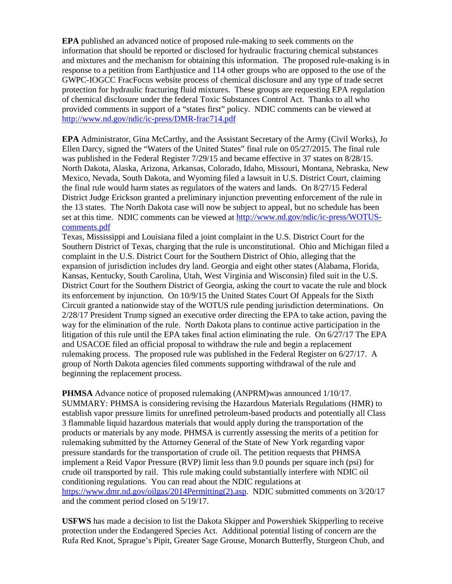**EPA** published an advanced notice of proposed rule-making to seek comments on the information that should be reported or disclosed for hydraulic fracturing chemical substances and mixtures and the mechanism for obtaining this information. The proposed rule-making is in response to a petition from Earthjustice and 114 other groups who are opposed to the use of the GWPC-IOGCC FracFocus website process of chemical disclosure and any type of trade secret protection for hydraulic fracturing fluid mixtures. These groups are requesting EPA regulation of chemical disclosure under the federal Toxic Substances Control Act. Thanks to all who provided comments in support of a "states first" policy. NDIC comments can be viewed at <http://www.nd.gov/ndic/ic-press/DMR-frac714.pdf>

**EPA** Administrator, Gina McCarthy, and the Assistant Secretary of the Army (Civil Works), Jo Ellen Darcy, signed the "Waters of the United States" final rule on 05/27/2015. The final rule was published in the Federal Register 7/29/15 and became effective in 37 states on 8/28/15. North Dakota, Alaska, Arizona, Arkansas, Colorado, Idaho, Missouri, Montana, Nebraska, New Mexico, Nevada, South Dakota, and Wyoming filed a lawsuit in U.S. District Court, claiming the final rule would harm states as regulators of the waters and lands. On 8/27/15 Federal District Judge Erickson granted a preliminary injunction preventing enforcement of the rule in the 13 states. The North Dakota case will now be subject to appeal, but no schedule has been set at this time. NDIC comments can be viewed at [http://www.nd.gov/ndic/ic-press/WOTUS](http://www.nd.gov/ndic/ic-press/WOTUS-comments.pdf)[comments.pdf](http://www.nd.gov/ndic/ic-press/WOTUS-comments.pdf)

Texas, Mississippi and Louisiana filed a joint complaint in the U.S. District Court for the Southern District of Texas, charging that the rule is unconstitutional. Ohio and Michigan filed a complaint in the U.S. District Court for the Southern District of Ohio, alleging that the expansion of jurisdiction includes dry land. Georgia and eight other states (Alabama, Florida, Kansas, Kentucky, South Carolina, Utah, West Virginia and Wisconsin) filed suit in the U.S. District Court for the Southern District of Georgia, asking the court to vacate the rule and block its enforcement by injunction. On 10/9/15 the United States Court Of Appeals for the Sixth Circuit granted a nationwide stay of the WOTUS rule pending jurisdiction determinations. On 2/28/17 President Trump signed an executive order directing the EPA to take action, paving the way for the elimination of the rule. North Dakota plans to continue active participation in the litigation of this rule until the EPA takes final action eliminating the rule. On 6/27/17 The EPA and USACOE filed an official proposal to withdraw the rule and begin a replacement rulemaking process. The proposed rule was published in the Federal Register on 6/27/17. A group of North Dakota agencies filed comments supporting withdrawal of the rule and beginning the replacement process.

**PHMSA** Advance notice of proposed rulemaking (ANPRM)was announced 1/10/17. SUMMARY: PHMSA is considering revising the Hazardous Materials Regulations (HMR) to establish vapor pressure limits for unrefined petroleum-based products and potentially all Class 3 flammable liquid hazardous materials that would apply during the transportation of the products or materials by any mode. PHMSA is currently assessing the merits of a petition for rulemaking submitted by the Attorney General of the State of New York regarding vapor pressure standards for the transportation of crude oil. The petition requests that PHMSA implement a Reid Vapor Pressure (RVP) limit less than 9.0 pounds per square inch (psi) for crude oil transported by rail. This rule making could substantially interfere with NDIC oil conditioning regulations. You can read about the NDIC regulations at [https://www.dmr.nd.gov/oilgas/2014Permitting\(2\).asp.](https://www.dmr.nd.gov/oilgas/2014Permitting(2).asp) NDIC submitted comments on 3/20/17 and the comment period closed on 5/19/17.

**USFWS** has made a decision to list the Dakota Skipper and Powershiek Skipperling to receive protection under the Endangered Species Act. Additional potential listing of concern are the Rufa Red Knot, Sprague's Pipit, Greater Sage Grouse, Monarch Butterfly, Sturgeon Chub, and